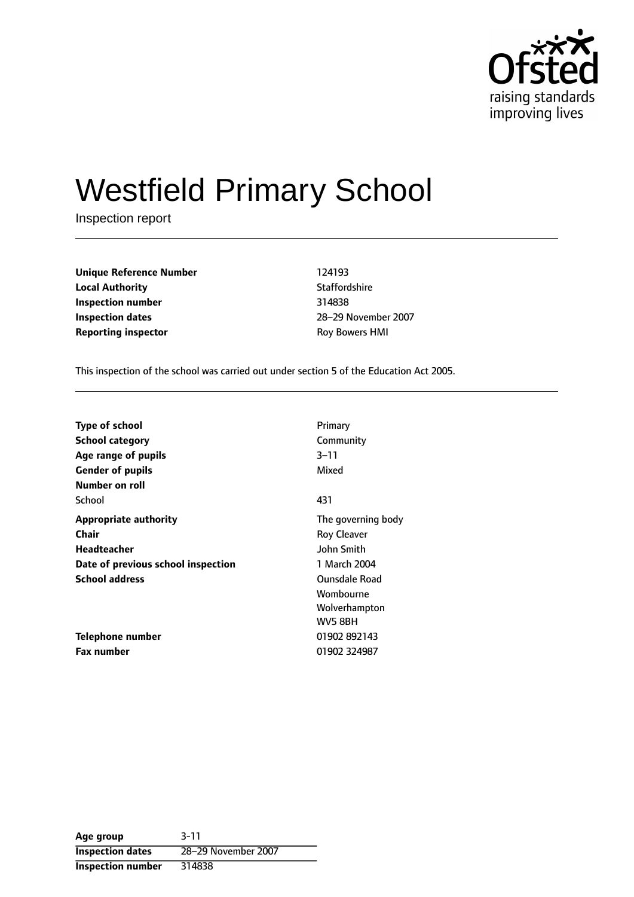

# Westfield Primary School

Inspection report

| <b>Unique Reference Number</b> | 124193                |
|--------------------------------|-----------------------|
| <b>Local Authority</b>         | <b>Staffordshire</b>  |
| Inspection number              | 314838                |
| <b>Inspection dates</b>        | 28-29 November        |
| <b>Reporting inspector</b>     | <b>Roy Bowers HMI</b> |

**Staffordshire Inspection dates** 2829 November 2007

This inspection of the school was carried out under section 5 of the Education Act 2005.

| <b>Type of school</b>              | Primary            |
|------------------------------------|--------------------|
| <b>School category</b>             | Community          |
| Age range of pupils                | 3–11               |
| <b>Gender of pupils</b>            | Mixed              |
| Number on roll                     |                    |
| School                             | 431                |
| <b>Appropriate authority</b>       | The governing body |
| <b>Chair</b>                       | <b>Roy Cleaver</b> |
| Headteacher                        | John Smith         |
| Date of previous school inspection | 1 March 2004       |
| <b>School address</b>              | Ounsdale Road      |
|                                    | Wombourne          |
|                                    | Wolverhampton      |
|                                    | <b>WV5 8BH</b>     |
| Telephone number                   | 01902 892143       |
| <b>Fax number</b>                  | 01902 324987       |

**Age group** 3-11 **Inspection dates** 28-29 November 2007 **Inspection number** 314838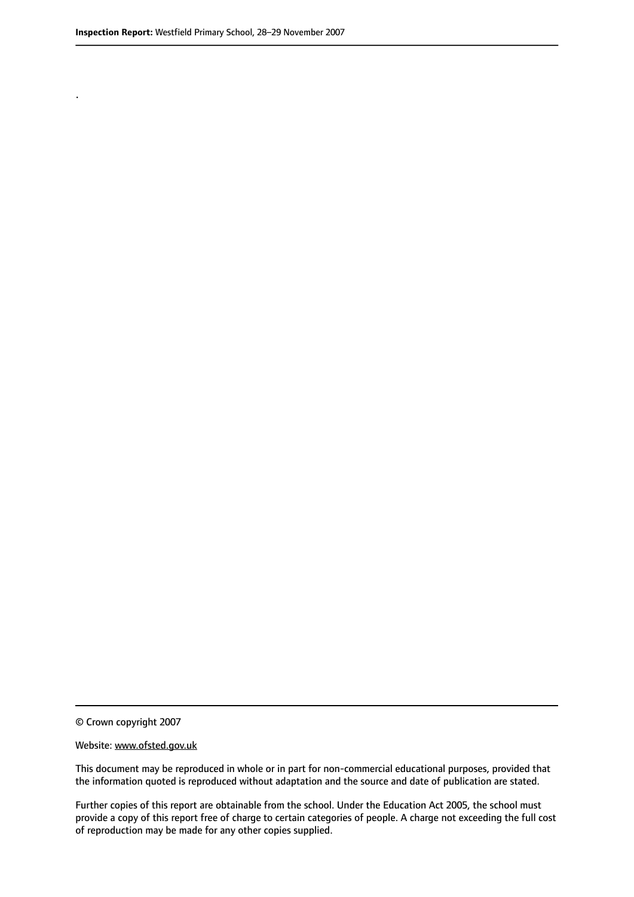.

© Crown copyright 2007

#### Website: www.ofsted.gov.uk

This document may be reproduced in whole or in part for non-commercial educational purposes, provided that the information quoted is reproduced without adaptation and the source and date of publication are stated.

Further copies of this report are obtainable from the school. Under the Education Act 2005, the school must provide a copy of this report free of charge to certain categories of people. A charge not exceeding the full cost of reproduction may be made for any other copies supplied.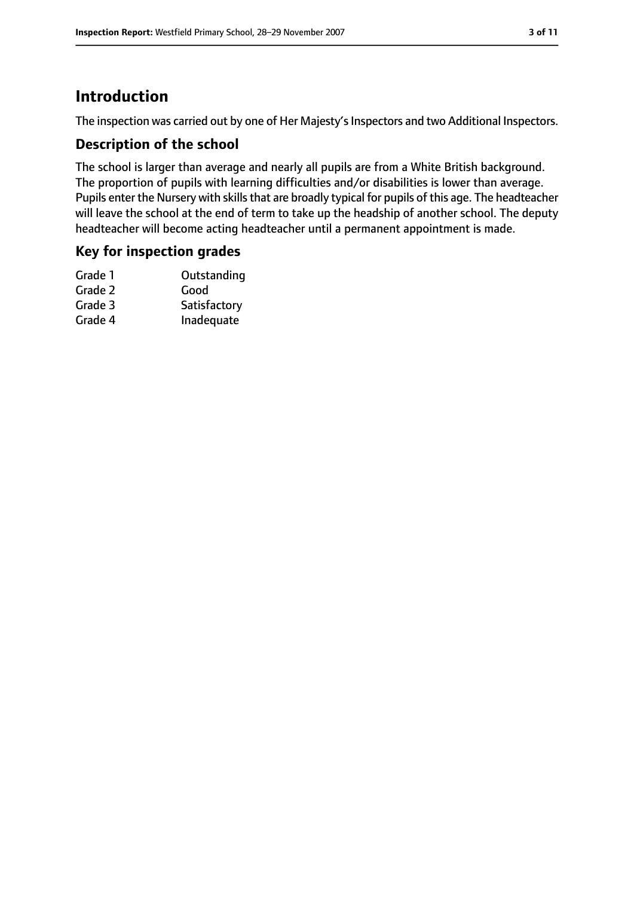## **Introduction**

The inspection was carried out by one of Her Majesty's Inspectors and two Additional Inspectors.

#### **Description of the school**

The school is larger than average and nearly all pupils are from a White British background. The proportion of pupils with learning difficulties and/or disabilities is lower than average. Pupils enter the Nursery with skills that are broadly typical for pupils of this age. The headteacher will leave the school at the end of term to take up the headship of another school. The deputy headteacher will become acting headteacher until a permanent appointment is made.

#### **Key for inspection grades**

| Outstanding  |
|--------------|
| Good         |
| Satisfactory |
| Inadequate   |
|              |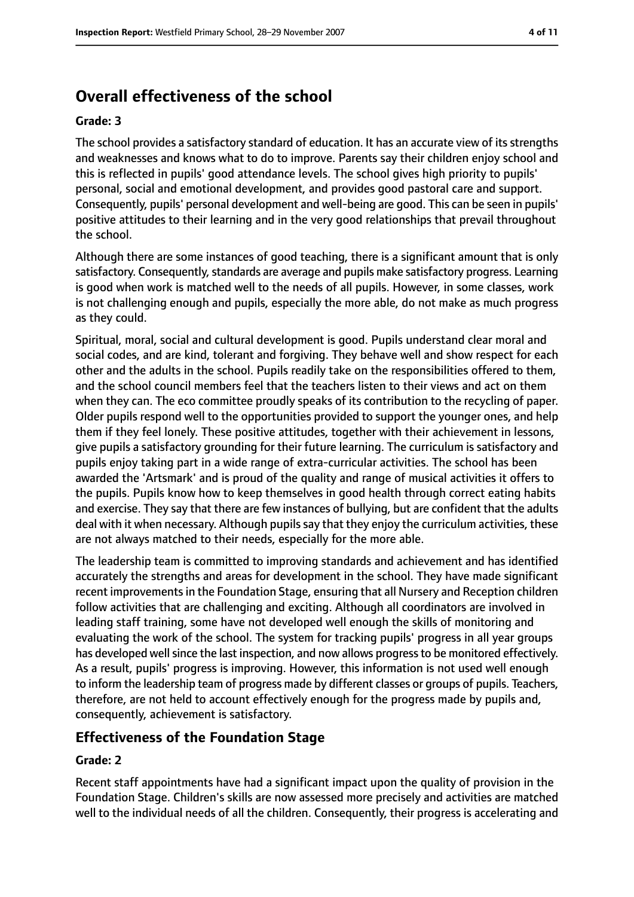## **Overall effectiveness of the school**

#### **Grade: 3**

The school provides a satisfactory standard of education. It has an accurate view of its strengths and weaknesses and knows what to do to improve. Parents say their children enjoy school and this is reflected in pupils' good attendance levels. The school gives high priority to pupils' personal, social and emotional development, and provides good pastoral care and support. Consequently, pupils' personal development and well-being are good. This can be seen in pupils' positive attitudes to their learning and in the very good relationships that prevail throughout the school.

Although there are some instances of good teaching, there is a significant amount that is only satisfactory. Consequently, standards are average and pupils make satisfactory progress. Learning is good when work is matched well to the needs of all pupils. However, in some classes, work is not challenging enough and pupils, especially the more able, do not make as much progress as they could.

Spiritual, moral, social and cultural development is good. Pupils understand clear moral and social codes, and are kind, tolerant and forgiving. They behave well and show respect for each other and the adults in the school. Pupils readily take on the responsibilities offered to them, and the school council members feel that the teachers listen to their views and act on them when they can. The eco committee proudly speaks of its contribution to the recycling of paper. Older pupils respond well to the opportunities provided to support the younger ones, and help them if they feel lonely. These positive attitudes, together with their achievement in lessons, give pupils a satisfactory grounding for their future learning. The curriculum is satisfactory and pupils enjoy taking part in a wide range of extra-curricular activities. The school has been awarded the 'Artsmark' and is proud of the quality and range of musical activities it offers to the pupils. Pupils know how to keep themselves in good health through correct eating habits and exercise. They say that there are few instances of bullying, but are confident that the adults deal with it when necessary. Although pupils say that they enjoy the curriculum activities, these are not always matched to their needs, especially for the more able.

The leadership team is committed to improving standards and achievement and has identified accurately the strengths and areas for development in the school. They have made significant recent improvementsin the Foundation Stage, ensuring that all Nursery and Reception children follow activities that are challenging and exciting. Although all coordinators are involved in leading staff training, some have not developed well enough the skills of monitoring and evaluating the work of the school. The system for tracking pupils' progress in all year groups has developed well since the last inspection, and now allows progress to be monitored effectively. As a result, pupils' progress is improving. However, this information is not used well enough to inform the leadership team of progress made by different classes or groups of pupils. Teachers, therefore, are not held to account effectively enough for the progress made by pupils and, consequently, achievement is satisfactory.

#### **Effectiveness of the Foundation Stage**

#### **Grade: 2**

Recent staff appointments have had a significant impact upon the quality of provision in the Foundation Stage. Children's skills are now assessed more precisely and activities are matched well to the individual needs of all the children. Consequently, their progress is accelerating and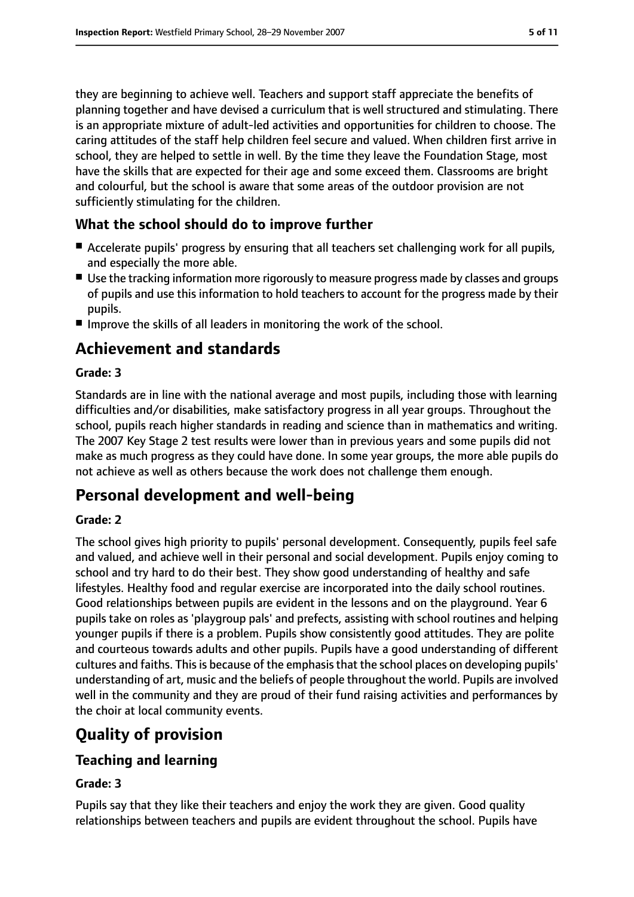they are beginning to achieve well. Teachers and support staff appreciate the benefits of planning together and have devised a curriculum that is well structured and stimulating. There is an appropriate mixture of adult-led activities and opportunities for children to choose. The caring attitudes of the staff help children feel secure and valued. When children first arrive in school, they are helped to settle in well. By the time they leave the Foundation Stage, most have the skills that are expected for their age and some exceed them. Classrooms are bright and colourful, but the school is aware that some areas of the outdoor provision are not sufficiently stimulating for the children.

#### **What the school should do to improve further**

- Accelerate pupils' progress by ensuring that all teachers set challenging work for all pupils, and especially the more able.
- Use the tracking information more rigorously to measure progress made by classes and groups of pupils and use this information to hold teachers to account for the progress made by their pupils.
- Improve the skills of all leaders in monitoring the work of the school.

## **Achievement and standards**

#### **Grade: 3**

Standards are in line with the national average and most pupils, including those with learning difficulties and/or disabilities, make satisfactory progress in all year groups. Throughout the school, pupils reach higher standards in reading and science than in mathematics and writing. The 2007 Key Stage 2 test results were lower than in previous years and some pupils did not make as much progress as they could have done. In some year groups, the more able pupils do not achieve as well as others because the work does not challenge them enough.

## **Personal development and well-being**

#### **Grade: 2**

The school gives high priority to pupils' personal development. Consequently, pupils feel safe and valued, and achieve well in their personal and social development. Pupils enjoy coming to school and try hard to do their best. They show good understanding of healthy and safe lifestyles. Healthy food and regular exercise are incorporated into the daily school routines. Good relationships between pupils are evident in the lessons and on the playground. Year 6 pupils take on roles as 'playgroup pals' and prefects, assisting with school routines and helping younger pupils if there is a problem. Pupils show consistently good attitudes. They are polite and courteous towards adults and other pupils. Pupils have a good understanding of different cultures and faiths. This is because of the emphasis that the school places on developing pupils' understanding of art, music and the beliefs of people throughout the world. Pupils are involved well in the community and they are proud of their fund raising activities and performances by the choir at local community events.

## **Quality of provision**

#### **Teaching and learning**

#### **Grade: 3**

Pupils say that they like their teachers and enjoy the work they are given. Good quality relationships between teachers and pupils are evident throughout the school. Pupils have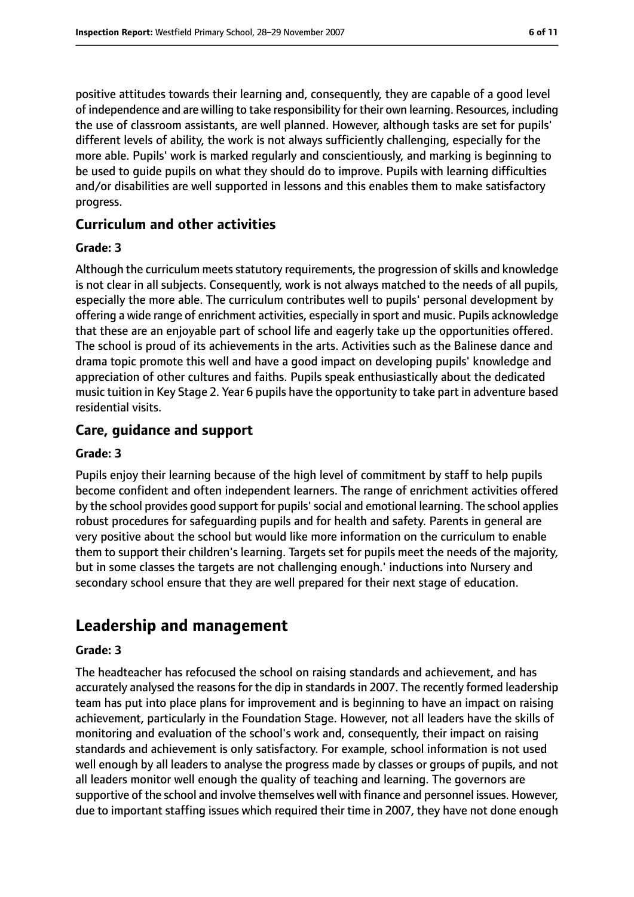positive attitudes towards their learning and, consequently, they are capable of a good level of independence and are willing to take responsibility for their own learning. Resources, including the use of classroom assistants, are well planned. However, although tasks are set for pupils' different levels of ability, the work is not always sufficiently challenging, especially for the more able. Pupils' work is marked regularly and conscientiously, and marking is beginning to be used to guide pupils on what they should do to improve. Pupils with learning difficulties and/or disabilities are well supported in lessons and this enables them to make satisfactory progress.

#### **Curriculum and other activities**

#### **Grade: 3**

Although the curriculum meets statutory requirements, the progression of skills and knowledge is not clear in all subjects. Consequently, work is not always matched to the needs of all pupils, especially the more able. The curriculum contributes well to pupils' personal development by offering a wide range of enrichment activities, especially in sport and music. Pupils acknowledge that these are an enjoyable part of school life and eagerly take up the opportunities offered. The school is proud of its achievements in the arts. Activities such as the Balinese dance and drama topic promote this well and have a good impact on developing pupils' knowledge and appreciation of other cultures and faiths. Pupils speak enthusiastically about the dedicated music tuition in Key Stage 2. Year 6 pupils have the opportunity to take part in adventure based residential visits.

#### **Care, guidance and support**

#### **Grade: 3**

Pupils enjoy their learning because of the high level of commitment by staff to help pupils become confident and often independent learners. The range of enrichment activities offered by the school provides good support for pupils'social and emotional learning. The school applies robust procedures for safeguarding pupils and for health and safety. Parents in general are very positive about the school but would like more information on the curriculum to enable them to support their children's learning. Targets set for pupils meet the needs of the majority, but in some classes the targets are not challenging enough.' inductions into Nursery and secondary school ensure that they are well prepared for their next stage of education.

## **Leadership and management**

#### **Grade: 3**

The headteacher has refocused the school on raising standards and achievement, and has accurately analysed the reasons for the dip in standards in 2007. The recently formed leadership team has put into place plans for improvement and is beginning to have an impact on raising achievement, particularly in the Foundation Stage. However, not all leaders have the skills of monitoring and evaluation of the school's work and, consequently, their impact on raising standards and achievement is only satisfactory. For example, school information is not used well enough by all leaders to analyse the progress made by classes or groups of pupils, and not all leaders monitor well enough the quality of teaching and learning. The governors are supportive of the school and involve themselves well with finance and personnel issues. However, due to important staffing issues which required their time in 2007, they have not done enough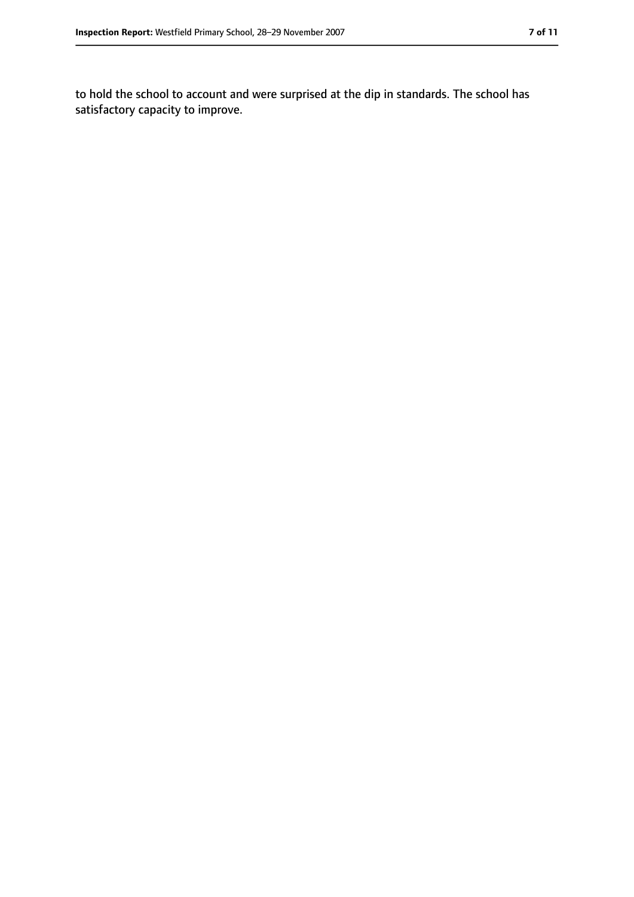to hold the school to account and were surprised at the dip in standards. The school has satisfactory capacity to improve.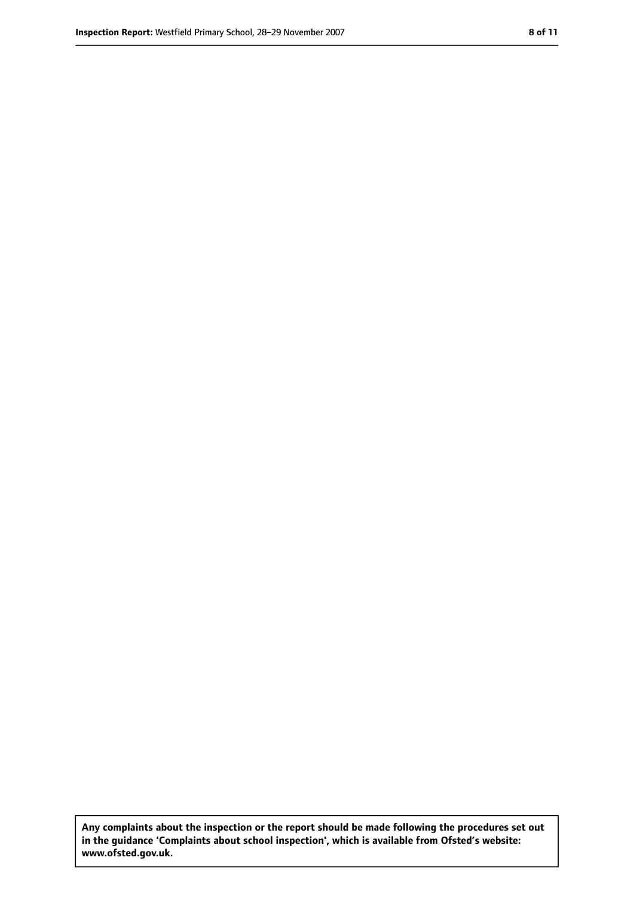**Any complaints about the inspection or the report should be made following the procedures set out in the guidance 'Complaints about school inspection', which is available from Ofsted's website: www.ofsted.gov.uk.**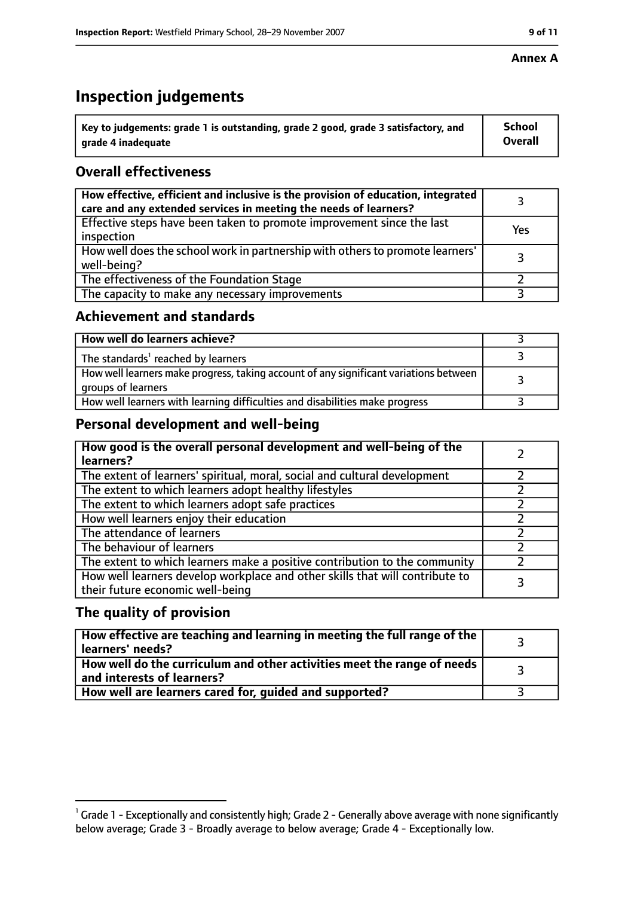# **Inspection judgements**

| $^{\backprime}$ Key to judgements: grade 1 is outstanding, grade 2 good, grade 3 satisfactory, and | <b>School</b>  |
|----------------------------------------------------------------------------------------------------|----------------|
| arade 4 inadeguate                                                                                 | <b>Overall</b> |

## **Overall effectiveness**

| How effective, efficient and inclusive is the provision of education, integrated<br>care and any extended services in meeting the needs of learners? |     |
|------------------------------------------------------------------------------------------------------------------------------------------------------|-----|
| Effective steps have been taken to promote improvement since the last<br>inspection                                                                  | Yes |
| How well does the school work in partnership with others to promote learners'<br>well-being?                                                         |     |
| The effectiveness of the Foundation Stage                                                                                                            |     |
| The capacity to make any necessary improvements                                                                                                      |     |

#### **Achievement and standards**

| How well do learners achieve?                                                                               |  |
|-------------------------------------------------------------------------------------------------------------|--|
| The standards <sup>1</sup> reached by learners                                                              |  |
| How well learners make progress, taking account of any significant variations between<br>groups of learners |  |
| How well learners with learning difficulties and disabilities make progress                                 |  |

#### **Personal development and well-being**

| How good is the overall personal development and well-being of the<br>learners?                                  |  |
|------------------------------------------------------------------------------------------------------------------|--|
| The extent of learners' spiritual, moral, social and cultural development                                        |  |
| The extent to which learners adopt healthy lifestyles                                                            |  |
| The extent to which learners adopt safe practices                                                                |  |
| How well learners enjoy their education                                                                          |  |
| The attendance of learners                                                                                       |  |
| The behaviour of learners                                                                                        |  |
| The extent to which learners make a positive contribution to the community                                       |  |
| How well learners develop workplace and other skills that will contribute to<br>their future economic well-being |  |

## **The quality of provision**

| How effective are teaching and learning in meeting the full range of the<br>learners' needs?          |  |
|-------------------------------------------------------------------------------------------------------|--|
| How well do the curriculum and other activities meet the range of needs<br>and interests of learners? |  |
| How well are learners cared for, guided and supported?                                                |  |

 $^1$  Grade 1 - Exceptionally and consistently high; Grade 2 - Generally above average with none significantly below average; Grade 3 - Broadly average to below average; Grade 4 - Exceptionally low.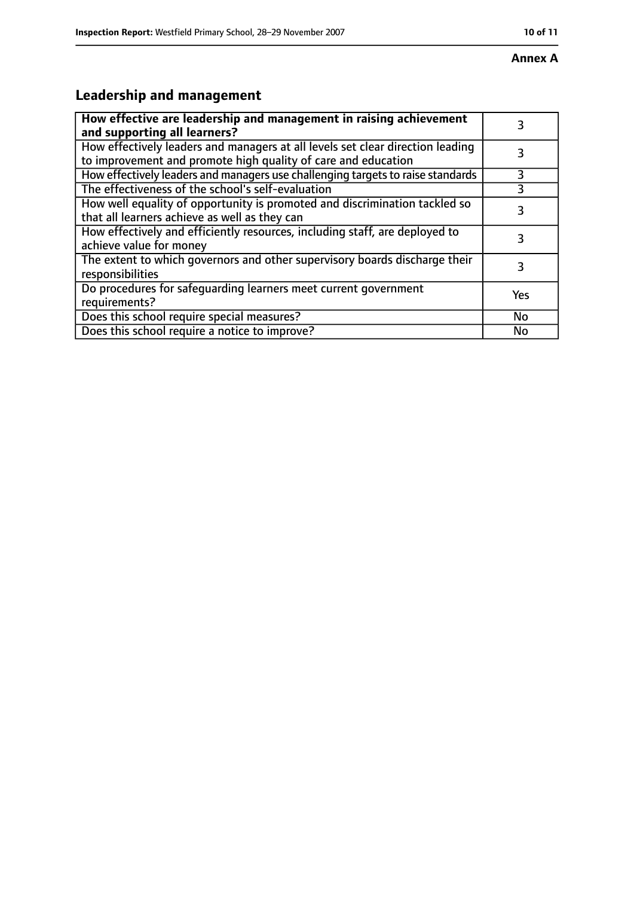## **Leadership and management**

| How effective are leadership and management in raising achievement<br>and supporting all learners?                                              | 3         |
|-------------------------------------------------------------------------------------------------------------------------------------------------|-----------|
| How effectively leaders and managers at all levels set clear direction leading<br>to improvement and promote high quality of care and education |           |
| How effectively leaders and managers use challenging targets to raise standards                                                                 | 3         |
| The effectiveness of the school's self-evaluation                                                                                               | 3         |
| How well equality of opportunity is promoted and discrimination tackled so<br>that all learners achieve as well as they can                     | 3         |
| How effectively and efficiently resources, including staff, are deployed to<br>achieve value for money                                          | 3         |
| The extent to which governors and other supervisory boards discharge their<br>responsibilities                                                  | 3         |
| Do procedures for safequarding learners meet current government<br>requirements?                                                                | Yes       |
| Does this school require special measures?                                                                                                      | <b>No</b> |
| Does this school require a notice to improve?                                                                                                   | No        |